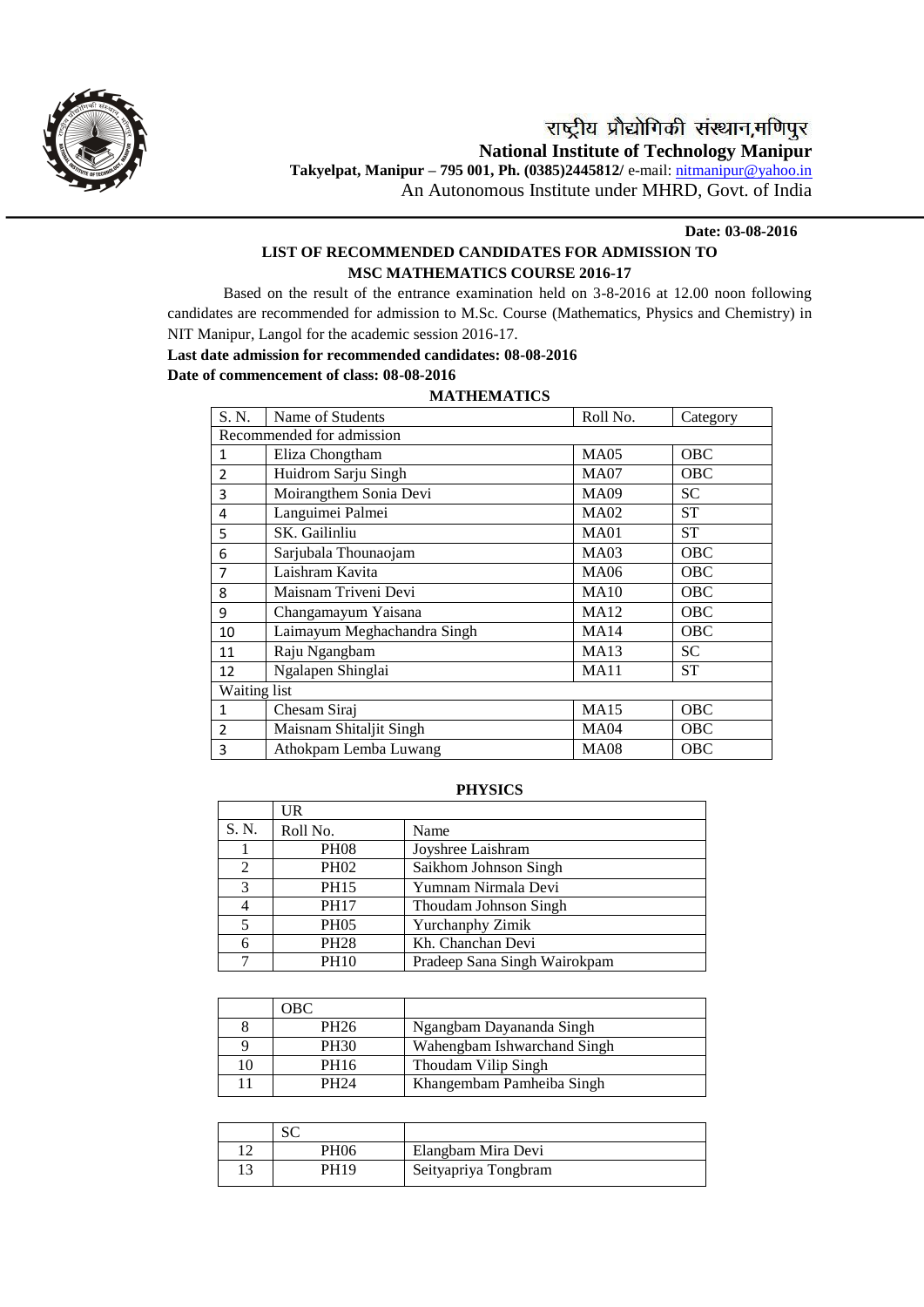

## **Date: 03-08-2016**

# **LIST OF RECOMMENDED CANDIDATES FOR ADMISSION TO MSC MATHEMATICS COURSE 2016-17**

Based on the result of the entrance examination held on 3-8-2016 at 12.00 noon following candidates are recommended for admission to M.Sc. Course (Mathematics, Physics and Chemistry) in NIT Manipur, Langol for the academic session 2016-17.

# **Last date admission for recommended candidates: 08-08-2016**

# **Date of commencement of class: 08-08-2016**

# **MATHEMATICS** S. N. Name of Students Roll No. Category Recommended for admission 1 Eliza Chongtham MA05 OBC 2 Huidrom Sarju Singh MA07 OBC 3 Moirangthem Sonia Devi MA09 SC<br>4 Languimei Palmei MA02 ST 4 Languimei Palmei (MA02 ST 5 SK. Gailinliu MA01 ST 6 Sarjubala Thounaojam MA03 OBC 7 Laishram Kavita<br>
8 Maisnam Triveni Devi MA10 OBC 8 Maisnam Triveni Devi MA10 9 Changamayum Yaisana MA12 OBC 10 | Laimayum Meghachandra Singh | MA14 | OBC 11 Raju Ngangbam MA13 SC<br>12 Ngalapen Shinglai MA11 ST 12 Ngalapen Shinglai MA11 Waiting list 1 Chesam Siraj MA15 OBC 2 | Maisnam Shitaljit Singh | MA04 | OBC 3 Athokpam Lemba Luwang MA08 OBC

## **PHYSICS**

|       | UR          |                              |
|-------|-------------|------------------------------|
| S. N. | Roll No.    | Name                         |
|       | <b>PH08</b> | Joyshree Laishram            |
| 2     | <b>PH02</b> | Saikhom Johnson Singh        |
| 3     | <b>PH15</b> | Yumnam Nirmala Devi          |
|       | <b>PH17</b> | Thoudam Johnson Singh        |
| 5     | <b>PH05</b> | Yurchanphy Zimik             |
| 6     | <b>PH28</b> | Kh. Chanchan Devi            |
|       | <b>PH10</b> | Pradeep Sana Singh Wairokpam |

|    | OBC              |                             |
|----|------------------|-----------------------------|
|    | PH <sub>26</sub> | Ngangbam Dayananda Singh    |
|    | <b>PH30</b>      | Wahengbam Ishwarchand Singh |
| l0 | PH16             | Thoudam Vilip Singh         |
|    | <b>PH24</b>      | Khangembam Pamheiba Singh   |

|            | ື    |                      |
|------------|------|----------------------|
| $\sqrt{2}$ | PH06 | Elangbam Mira Devi   |
|            | PH19 | Seityapriya Tongbram |